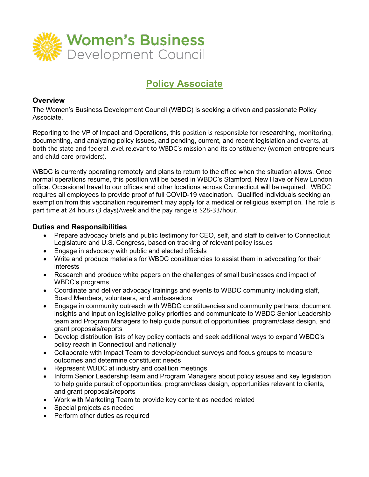

# **Policy Associate**

## **Overview**

The Women's Business Development Council (WBDC) is seeking a driven and passionate Policy Associate.

Reporting to the VP of Impact and Operations, this position is responsible for researching, monitoring, documenting, and analyzing policy issues, and pending, current, and recent legislation and events, at both the state and federal level relevant to WBDC's mission and its constituency (women entrepreneurs and child care providers).

WBDC is currently operating remotely and plans to return to the office when the situation allows. Once normal operations resume, this position will be based in WBDC's Stamford, New Have or New London office. Occasional travel to our offices and other locations across Connecticut will be required. WBDC requires all employees to provide proof of full COVID-19 vaccination. Qualified individuals seeking an exemption from this vaccination requirement may apply for a medical or religious exemption. The role is part time at 24 hours (3 days)/week and the pay range is \$28-33/hour.

#### **Duties and Responsibilities**

- Prepare advocacy briefs and public testimony for CEO, self, and staff to deliver to Connecticut Legislature and U.S. Congress, based on tracking of relevant policy issues
- Engage in advocacy with public and elected officials
- Write and produce materials for WBDC constituencies to assist them in advocating for their interests
- Research and produce white papers on the challenges of small businesses and impact of WBDC's programs
- Coordinate and deliver advocacy trainings and events to WBDC community including staff, Board Members, volunteers, and ambassadors
- Engage in community outreach with WBDC constituencies and community partners; document insights and input on legislative policy priorities and communicate to WBDC Senior Leadership team and Program Managers to help guide pursuit of opportunities, program/class design, and grant proposals/reports
- Develop distribution lists of key policy contacts and seek additional ways to expand WBDC's policy reach in Connecticut and nationally
- Collaborate with Impact Team to develop/conduct surveys and focus groups to measure outcomes and determine constituent needs
- Represent WBDC at industry and coalition meetings
- Inform Senior Leadership team and Program Managers about policy issues and key legislation to help guide pursuit of opportunities, program/class design, opportunities relevant to clients, and grant proposals/reports
- Work with Marketing Team to provide key content as needed related
- Special projects as needed
- Perform other duties as required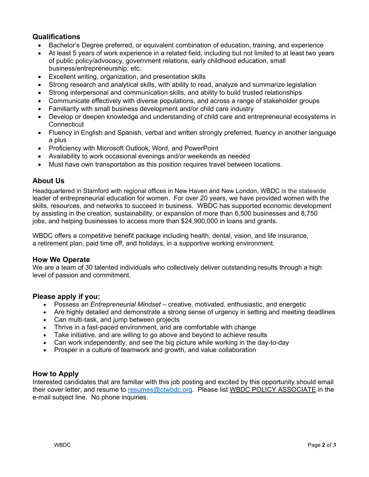# **Qualifications**

- Bachelor's Degree preferred, or equivalent combination of education, training, and experience
- At least 5 years of work experience in a related field, including but not limited to at least two years of public policy/advocacy, government relations, early childhood education, small business/entrepreneurship, etc.
- Excellent writing, organization, and presentation skills
- Strong research and analytical skills, with ability to read, analyze and summarize legislation
- Strong interpersonal and communication skills, and ability to build trusted relationships
- Communicate effectively with diverse populations, and across a range of stakeholder groups
- Familiarity with small business development and/or child care industry
- Develop or deepen knowledge and understanding of child care and entrepreneurial ecosystems in **Connecticut**
- Fluency in English and Spanish, verbal and written strongly preferred, fluency in another language a plus
- Proficiency with Microsoft Outlook, Word, and PowerPoint
- Availability to work occasional evenings and/or weekends as needed
- Must have own transportation as this position requires travel between locations.

### **About Us**

Headquartered in Stamford with regional offices in New Haven and New London, WBDC is the statewide leader of entrepreneurial education for women. For over 20 years, we have provided women with the skills, resources, and networks to succeed in business. WBDC has supported economic development by assisting in the creation, sustainability, or expansion of more than 6,500 businesses and 8,750 jobs, and helping businesses to access more than \$24,900,000 in loans and grants.

WBDC offers a competitive benefit package including health, dental, vision, and life insurance, a retirement plan, paid time off, and holidays, in a supportive working environment.

#### **How We Operate**

We are a team of 30 talented individuals who collectively deliver outstanding results through a high level of passion and commitment.

#### **Please apply if you:**

- Possess an *Entrepreneurial Mindset*  creative, motivated, enthusiastic, and energetic
- Are highly detailed and demonstrate a strong sense of urgency in setting and meeting deadlines
- Can multi-task, and jump between projects
- Thrive in a fast-paced environment, and are comfortable with change
- Take initiative, and are willing to go above and beyond to achieve results
- Can work independently, and see the big picture while working in the day-to-day
- Prosper in a culture of teamwork and growth, and value collaboration

# **How to Apply**

Interested candidates that are familiar with this job posting and excited by this opportunity should email their cover letter, and resume to [resumes@ctwbdc.org.](mailto:resumes@ctwbdc.org?subject=WBDC%20PROGRAM%20MANAGER%20(SE)) Please list WBDC POLICY ASSOCIATE in the e-mail subject line. No phone inquiries.